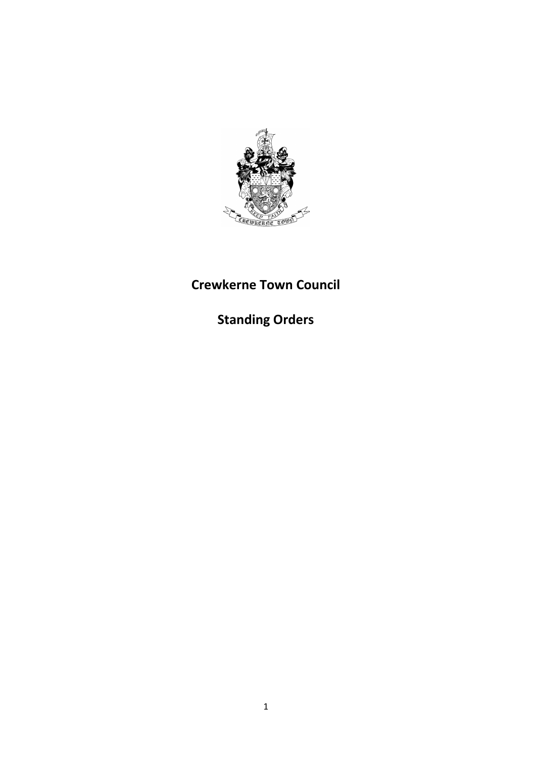

# **Crewkerne Town Council**

**Standing Orders**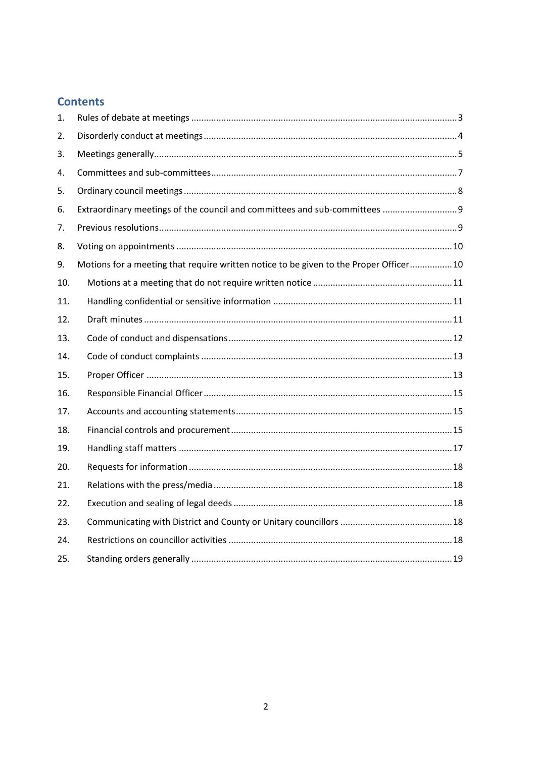## **Contents**

| 1.  |                                                                                        |  |
|-----|----------------------------------------------------------------------------------------|--|
| 2.  |                                                                                        |  |
| 3.  |                                                                                        |  |
| 4.  |                                                                                        |  |
| 5.  |                                                                                        |  |
| 6.  | Extraordinary meetings of the council and committees and sub-committees  9             |  |
| 7.  |                                                                                        |  |
| 8.  |                                                                                        |  |
| 9.  | Motions for a meeting that require written notice to be given to the Proper Officer 10 |  |
| 10. |                                                                                        |  |
| 11. |                                                                                        |  |
| 12. |                                                                                        |  |
| 13. |                                                                                        |  |
| 14. |                                                                                        |  |
| 15. |                                                                                        |  |
| 16. |                                                                                        |  |
| 17. |                                                                                        |  |
| 18. |                                                                                        |  |
| 19. |                                                                                        |  |
| 20. |                                                                                        |  |
| 21. |                                                                                        |  |
| 22. |                                                                                        |  |
| 23. |                                                                                        |  |
| 24. |                                                                                        |  |
| 25. |                                                                                        |  |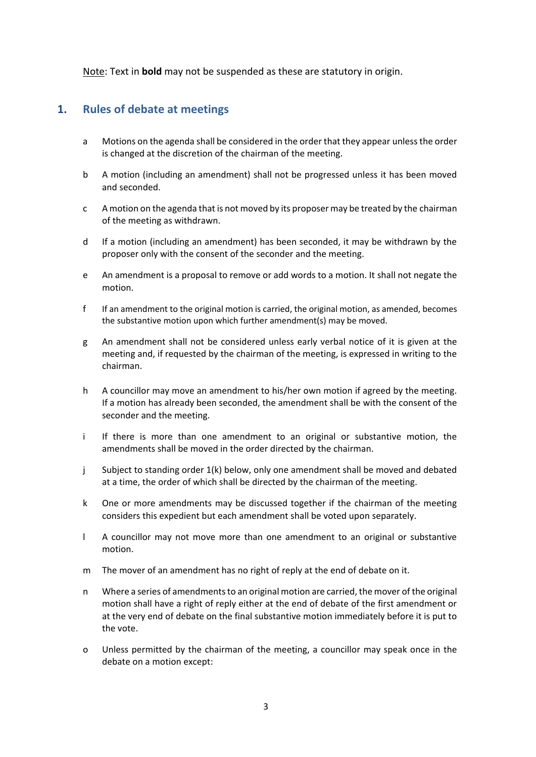<span id="page-2-0"></span>Note: Text in **bold** may not be suspended as these are statutory in origin.

#### **1. Rules of debate at meetings**

- a Motions on the agenda shall be considered in the order that they appear unless the order is changed at the discretion of the chairman of the meeting.
- b A motion (including an amendment) shall not be progressed unless it has been moved and seconded.
- c A motion on the agenda that is not moved by its proposer may be treated by the chairman of the meeting as withdrawn.
- d If a motion (including an amendment) has been seconded, it may be withdrawn by the proposer only with the consent of the seconder and the meeting.
- e An amendment is a proposal to remove or add words to a motion. It shall not negate the motion.
- f If an amendment to the original motion is carried, the original motion, as amended, becomes the substantive motion upon which further amendment(s) may be moved.
- g An amendment shall not be considered unless early verbal notice of it is given at the meeting and, if requested by the chairman of the meeting, is expressed in writing to the chairman.
- h A councillor may move an amendment to his/her own motion if agreed by the meeting. If a motion has already been seconded, the amendment shall be with the consent of the seconder and the meeting.
- i If there is more than one amendment to an original or substantive motion, the amendments shall be moved in the order directed by the chairman.
- j Subject to standing order 1(k) below, only one amendment shall be moved and debated at a time, the order of which shall be directed by the chairman of the meeting.
- k One or more amendments may be discussed together if the chairman of the meeting considers this expedient but each amendment shall be voted upon separately.
- l A councillor may not move more than one amendment to an original or substantive motion.
- m The mover of an amendment has no right of reply at the end of debate on it.
- n Where a series of amendments to an original motion are carried, the mover of the original motion shall have a right of reply either at the end of debate of the first amendment or at the very end of debate on the final substantive motion immediately before it is put to the vote.
- o Unless permitted by the chairman of the meeting, a councillor may speak once in the debate on a motion except: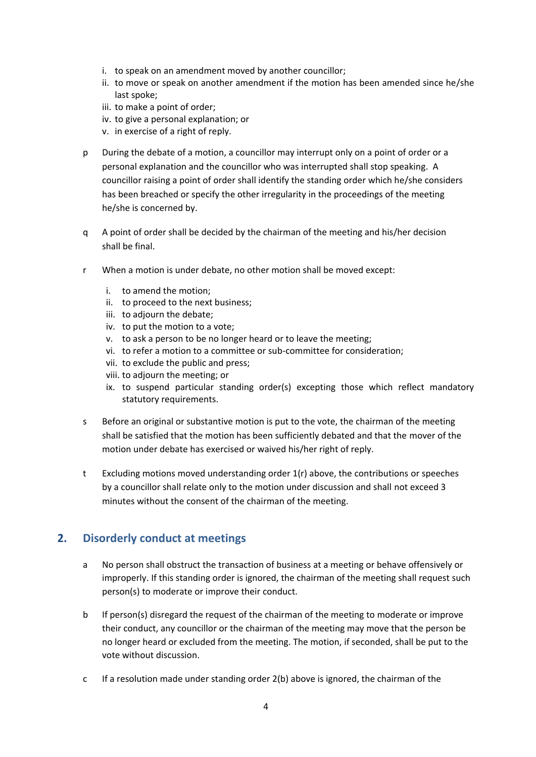- i. to speak on an amendment moved by another councillor;
- ii. to move or speak on another amendment if the motion has been amended since he/she last spoke;
- iii. to make a point of order;
- iv. to give a personal explanation; or
- v. in exercise of a right of reply.
- p During the debate of a motion, a councillor may interrupt only on a point of order or a personal explanation and the councillor who was interrupted shall stop speaking. A councillor raising a point of order shall identify the standing order which he/she considers has been breached or specify the other irregularity in the proceedings of the meeting he/she is concerned by.
- q A point of order shall be decided by the chairman of the meeting and his/her decision shall be final.
- r When a motion is under debate, no other motion shall be moved except:
	- i. to amend the motion;
	- ii. to proceed to the next business;
	- iii. to adjourn the debate;
	- iv. to put the motion to a vote;
	- v. to ask a person to be no longer heard or to leave the meeting;
	- vi. to refer a motion to a committee or sub-committee for consideration;
	- vii. to exclude the public and press;
	- viii. to adjourn the meeting; or
	- ix. to suspend particular standing order(s) excepting those which reflect mandatory statutory requirements.
- s Before an original or substantive motion is put to the vote, the chairman of the meeting shall be satisfied that the motion has been sufficiently debated and that the mover of the motion under debate has exercised or waived his/her right of reply.
- t Excluding motions moved understanding order  $1(r)$  above, the contributions or speeches by a councillor shall relate only to the motion under discussion and shall not exceed 3 minutes without the consent of the chairman of the meeting.

#### <span id="page-3-0"></span>**2. Disorderly conduct at meetings**

- a No person shall obstruct the transaction of business at a meeting or behave offensively or improperly. If this standing order is ignored, the chairman of the meeting shall request such person(s) to moderate or improve their conduct.
- b If person(s) disregard the request of the chairman of the meeting to moderate or improve their conduct, any councillor or the chairman of the meeting may move that the person be no longer heard or excluded from the meeting. The motion, if seconded, shall be put to the vote without discussion.
- c If a resolution made under standing order 2(b) above is ignored, the chairman of the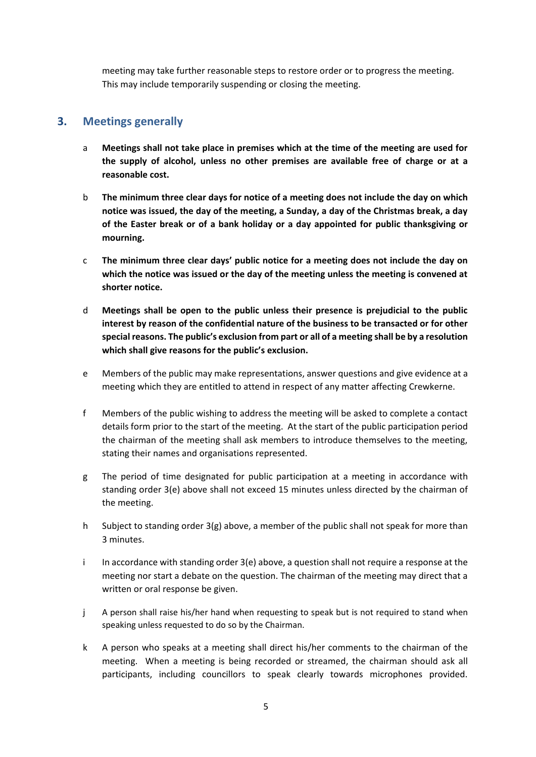meeting may take further reasonable steps to restore order or to progress the meeting. This may include temporarily suspending or closing the meeting.

#### <span id="page-4-0"></span>**3. Meetings generally**

- a **Meetings shall not take place in premises which at the time of the meeting are used for the supply of alcohol, unless no other premises are available free of charge or at a reasonable cost.**
- b **The minimum three clear days for notice of a meeting does not include the day on which notice was issued, the day of the meeting, a Sunday, a day of the Christmas break, a day of the Easter break or of a bank holiday or a day appointed for public thanksgiving or mourning.**
- c **The minimum three clear days' public notice for a meeting does not include the day on which the notice was issued or the day of the meeting unless the meeting is convened at shorter notice.**
- d **Meetings shall be open to the public unless their presence is prejudicial to the public interest by reason of the confidential nature of the business to be transacted or for other special reasons. The public's exclusion from part or all of a meeting shall be by a resolution which shall give reasons for the public's exclusion.**
- e Members of the public may make representations, answer questions and give evidence at a meeting which they are entitled to attend in respect of any matter affecting Crewkerne.
- f Members of the public wishing to address the meeting will be asked to complete a contact details form prior to the start of the meeting. At the start of the public participation period the chairman of the meeting shall ask members to introduce themselves to the meeting, stating their names and organisations represented.
- g The period of time designated for public participation at a meeting in accordance with standing order 3(e) above shall not exceed 15 minutes unless directed by the chairman of the meeting.
- h Subject to standing order  $3(g)$  above, a member of the public shall not speak for more than 3 minutes.
- i In accordance with standing order 3(e) above, a question shall not require a response at the meeting nor start a debate on the question. The chairman of the meeting may direct that a written or oral response be given.
- j A person shall raise his/her hand when requesting to speak but is not required to stand when speaking unless requested to do so by the Chairman.
- k A person who speaks at a meeting shall direct his/her comments to the chairman of the meeting. When a meeting is being recorded or streamed, the chairman should ask all participants, including councillors to speak clearly towards microphones provided.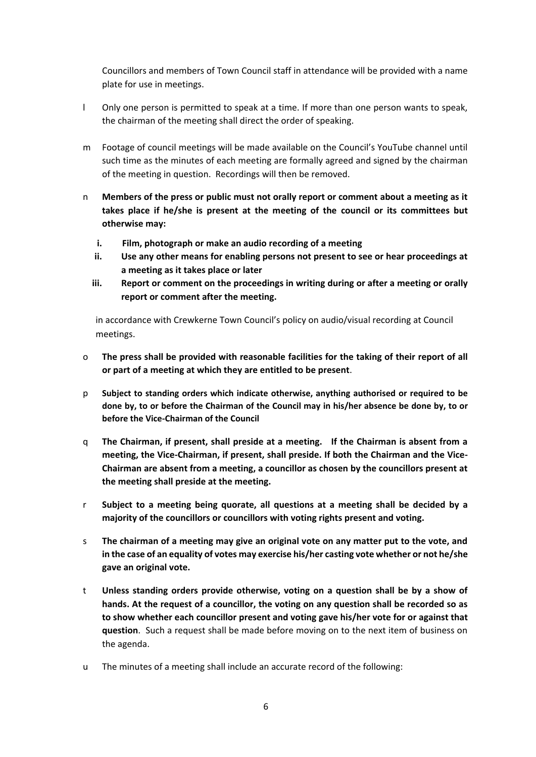Councillors and members of Town Council staff in attendance will be provided with a name plate for use in meetings.

- l Only one person is permitted to speak at a time. If more than one person wants to speak, the chairman of the meeting shall direct the order of speaking.
- m Footage of council meetings will be made available on the Council's YouTube channel until such time as the minutes of each meeting are formally agreed and signed by the chairman of the meeting in question. Recordings will then be removed.
- n **Members of the press or public must not orally report or comment about a meeting as it takes place if he/she is present at the meeting of the council or its committees but otherwise may:**
	- **i. Film, photograph or make an audio recording of a meeting**
	- **ii. Use any other means for enabling persons not present to see or hear proceedings at a meeting as it takes place or later**
	- **iii. Report or comment on the proceedings in writing during or after a meeting or orally report or comment after the meeting.**

in accordance with Crewkerne Town Council's policy on audio/visual recording at Council meetings.

- o **The press shall be provided with reasonable facilities for the taking of their report of all or part of a meeting at which they are entitled to be present**.
- p **Subject to standing orders which indicate otherwise, anything authorised or required to be done by, to or before the Chairman of the Council may in his/her absence be done by, to or before the Vice-Chairman of the Council**
- q **The Chairman, if present, shall preside at a meeting. If the Chairman is absent from a meeting, the Vice-Chairman, if present, shall preside. If both the Chairman and the Vice-Chairman are absent from a meeting, a councillor as chosen by the councillors present at the meeting shall preside at the meeting.**
- r **Subject to a meeting being quorate, all questions at a meeting shall be decided by a majority of the councillors or councillors with voting rights present and voting.**
- s **The chairman of a meeting may give an original vote on any matter put to the vote, and in the case of an equality of votes may exercise his/her casting vote whether or not he/she gave an original vote.**
- t **Unless standing orders provide otherwise, voting on a question shall be by a show of hands. At the request of a councillor, the voting on any question shall be recorded so as to show whether each councillor present and voting gave his/her vote for or against that question**. Such a request shall be made before moving on to the next item of business on the agenda.
- u The minutes of a meeting shall include an accurate record of the following: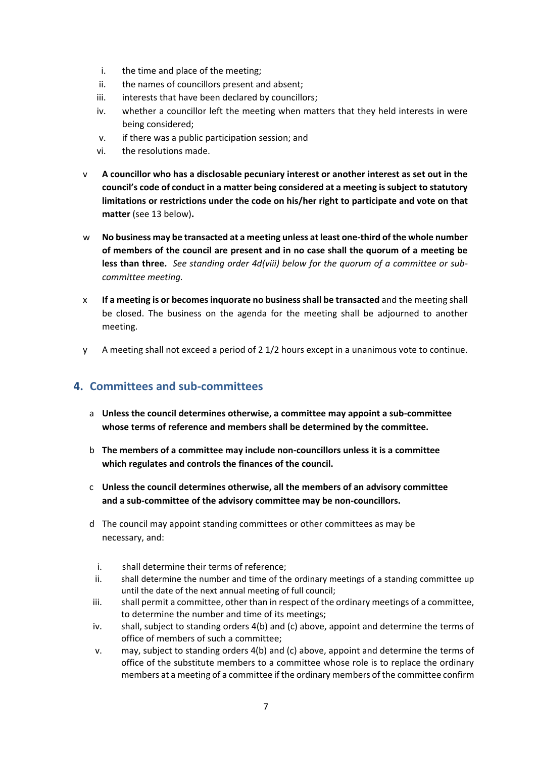- i. the time and place of the meeting;
- ii. the names of councillors present and absent;
- iii. interests that have been declared by councillors;
- iv. whether a councillor left the meeting when matters that they held interests in were being considered;
- v. if there was a public participation session; and
- vi. the resolutions made.
- v **A councillor who has a disclosable pecuniary interest or another interest as set out in the council's code of conduct in a matter being considered at a meeting is subject to statutory limitations or restrictions under the code on his/her right to participate and vote on that matter** (see 13 below)**.**
- w **No business may be transacted at a meeting unless at least one-third of the whole number of members of the council are present and in no case shall the quorum of a meeting be less than three.** *See standing order 4d(viii) below for the quorum of a committee or subcommittee meeting.*
- x **If a meeting is or becomes inquorate no business shall be transacted** and the meeting shall be closed. The business on the agenda for the meeting shall be adjourned to another meeting.
- y A meeting shall not exceed a period of 2 1/2 hours except in a unanimous vote to continue.

#### <span id="page-6-0"></span>**4. Committees and sub-committees**

- a **Unless the council determines otherwise, a committee may appoint a sub-committee whose terms of reference and members shall be determined by the committee.**
- b **The members of a committee may include non-councillors unless it is a committee which regulates and controls the finances of the council.**
- c **Unless the council determines otherwise, all the members of an advisory committee and a sub-committee of the advisory committee may be non-councillors.**
- d The council may appoint standing committees or other committees as may be necessary, and:
- i. shall determine their terms of reference;
- ii. shall determine the number and time of the ordinary meetings of a standing committee up until the date of the next annual meeting of full council;
- iii. shall permit a committee, other than in respect of the ordinary meetings of a committee, to determine the number and time of its meetings;
- iv. shall, subject to standing orders 4(b) and (c) above, appoint and determine the terms of office of members of such a committee;
- v. may, subject to standing orders 4(b) and (c) above, appoint and determine the terms of office of the substitute members to a committee whose role is to replace the ordinary members at a meeting of a committee if the ordinary members of the committee confirm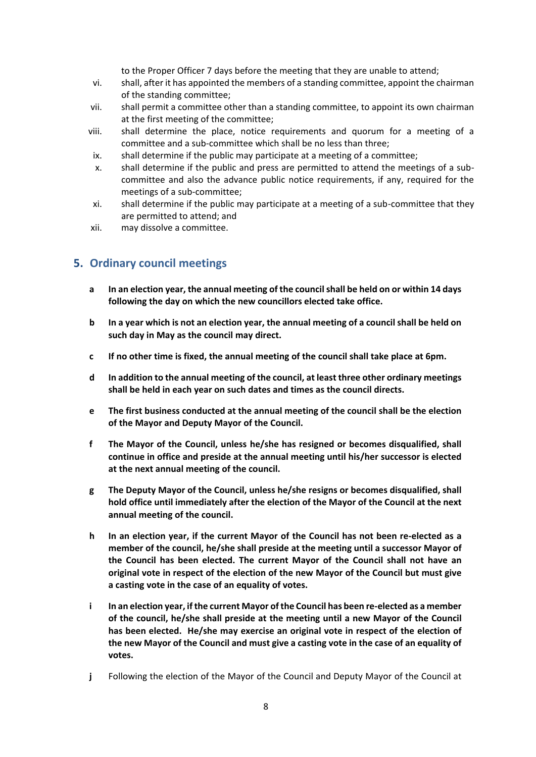to the Proper Officer 7 days before the meeting that they are unable to attend;

- vi. shall, after it has appointed the members of a standing committee, appoint the chairman of the standing committee;
- vii. shall permit a committee other than a standing committee, to appoint its own chairman at the first meeting of the committee;
- viii. shall determine the place, notice requirements and quorum for a meeting of a committee and a sub-committee which shall be no less than three;
- ix. shall determine if the public may participate at a meeting of a committee;
- x. shall determine if the public and press are permitted to attend the meetings of a subcommittee and also the advance public notice requirements, if any, required for the meetings of a sub-committee;
- xi. shall determine if the public may participate at a meeting of a sub-committee that they are permitted to attend; and
- xii. may dissolve a committee.

#### <span id="page-7-0"></span>**5. Ordinary council meetings**

- **a In an election year, the annual meeting of the council shall be held on or within 14 days following the day on which the new councillors elected take office.**
- **b In a year which is not an election year, the annual meeting of a council shall be held on such day in May as the council may direct.**
- **c If no other time is fixed, the annual meeting of the council shall take place at 6pm.**
- **d In addition to the annual meeting of the council, at least three other ordinary meetings shall be held in each year on such dates and times as the council directs.**
- **e The first business conducted at the annual meeting of the council shall be the election of the Mayor and Deputy Mayor of the Council.**
- **f The Mayor of the Council, unless he/she has resigned or becomes disqualified, shall continue in office and preside at the annual meeting until his/her successor is elected at the next annual meeting of the council.**
- **g The Deputy Mayor of the Council, unless he/she resigns or becomes disqualified, shall hold office until immediately after the election of the Mayor of the Council at the next annual meeting of the council.**
- **h In an election year, if the current Mayor of the Council has not been re-elected as a member of the council, he/she shall preside at the meeting until a successor Mayor of the Council has been elected. The current Mayor of the Council shall not have an original vote in respect of the election of the new Mayor of the Council but must give a casting vote in the case of an equality of votes.**
- **i In an election year, if the current Mayor of the Council has been re-elected as a member of the council, he/she shall preside at the meeting until a new Mayor of the Council has been elected. He/she may exercise an original vote in respect of the election of the new Mayor of the Council and must give a casting vote in the case of an equality of votes.**
- **j** Following the election of the Mayor of the Council and Deputy Mayor of the Council at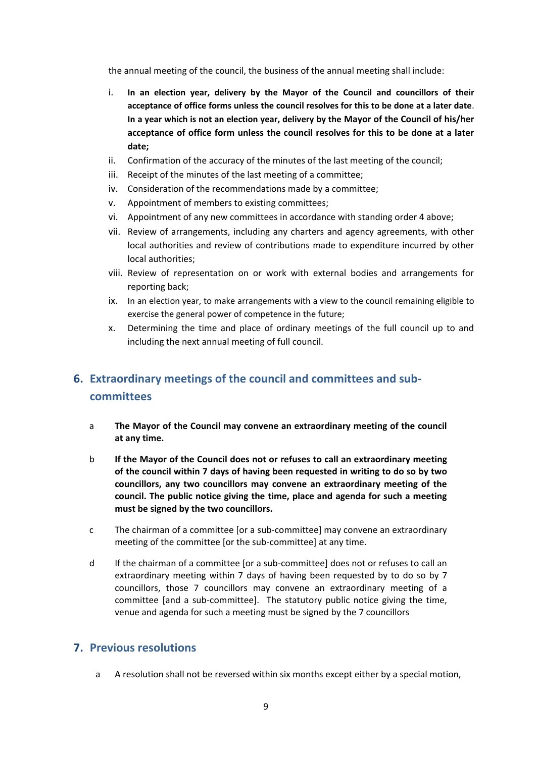the annual meeting of the council, the business of the annual meeting shall include:

- i. **In an election year, delivery by the Mayor of the Council and councillors of their acceptance of office forms unless the council resolves for this to be done at a later date**. **In a year which is not an election year, delivery by the Mayor of the Council of his/her acceptance of office form unless the council resolves for this to be done at a later date;**
- ii. Confirmation of the accuracy of the minutes of the last meeting of the council;
- iii. Receipt of the minutes of the last meeting of a committee;
- iv. Consideration of the recommendations made by a committee;
- v. Appointment of members to existing committees;
- vi. Appointment of any new committees in accordance with standing order 4 above;
- vii. Review of arrangements, including any charters and agency agreements, with other local authorities and review of contributions made to expenditure incurred by other local authorities;
- viii. Review of representation on or work with external bodies and arrangements for reporting back;
- ix. In an election year, to make arrangements with a view to the council remaining eligible to exercise the general power of competence in the future;
- x. Determining the time and place of ordinary meetings of the full council up to and including the next annual meeting of full council.

# <span id="page-8-0"></span>**6. Extraordinary meetings of the council and committees and subcommittees**

- a **The Mayor of the Council may convene an extraordinary meeting of the council at any time.**
- b **If the Mayor of the Council does not or refuses to call an extraordinary meeting of the council within 7 days of having been requested in writing to do so by two councillors, any two councillors may convene an extraordinary meeting of the council. The public notice giving the time, place and agenda for such a meeting must be signed by the two councillors.**
- c The chairman of a committee [or a sub-committee] may convene an extraordinary meeting of the committee [or the sub-committee] at any time.
- d If the chairman of a committee [or a sub-committee] does not or refuses to call an extraordinary meeting within 7 days of having been requested by to do so by 7 councillors, those 7 councillors may convene an extraordinary meeting of a committee [and a sub-committee]. The statutory public notice giving the time, venue and agenda for such a meeting must be signed by the 7 councillors

#### <span id="page-8-1"></span>**7. Previous resolutions**

a A resolution shall not be reversed within six months except either by a special motion,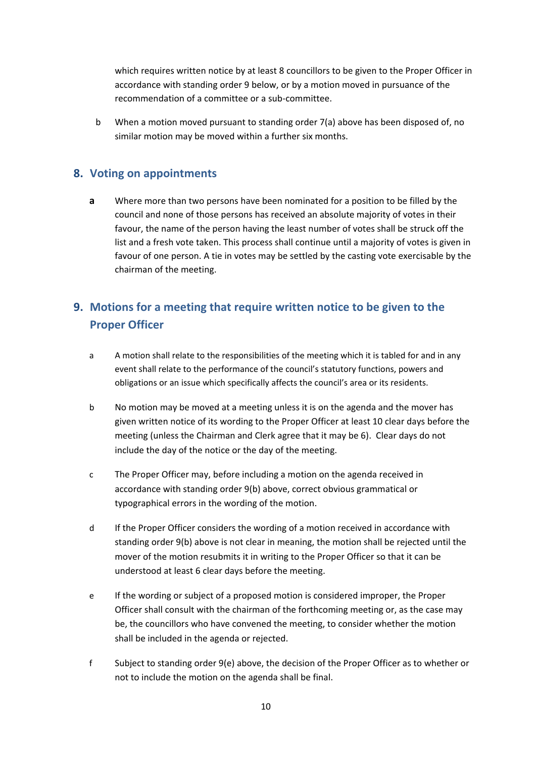which requires written notice by at least 8 councillors to be given to the Proper Officer in accordance with standing order 9 below, or by a motion moved in pursuance of the recommendation of a committee or a sub-committee.

b When a motion moved pursuant to standing order 7(a) above has been disposed of, no similar motion may be moved within a further six months.

## <span id="page-9-0"></span>**8. Voting on appointments**

**a** Where more than two persons have been nominated for a position to be filled by the council and none of those persons has received an absolute majority of votes in their favour, the name of the person having the least number of votes shall be struck off the list and a fresh vote taken. This process shall continue until a majority of votes is given in favour of one person. A tie in votes may be settled by the casting vote exercisable by the chairman of the meeting.

## <span id="page-9-1"></span>**9. Motions for a meeting that require written notice to be given to the Proper Officer**

- a A motion shall relate to the responsibilities of the meeting which it is tabled for and in any event shall relate to the performance of the council's statutory functions, powers and obligations or an issue which specifically affects the council's area or its residents.
- b No motion may be moved at a meeting unless it is on the agenda and the mover has given written notice of its wording to the Proper Officer at least 10 clear days before the meeting (unless the Chairman and Clerk agree that it may be 6). Clear days do not include the day of the notice or the day of the meeting.
- c The Proper Officer may, before including a motion on the agenda received in accordance with standing order 9(b) above, correct obvious grammatical or typographical errors in the wording of the motion.
- d If the Proper Officer considers the wording of a motion received in accordance with standing order 9(b) above is not clear in meaning, the motion shall be rejected until the mover of the motion resubmits it in writing to the Proper Officer so that it can be understood at least 6 clear days before the meeting.
- e If the wording or subject of a proposed motion is considered improper, the Proper Officer shall consult with the chairman of the forthcoming meeting or, as the case may be, the councillors who have convened the meeting, to consider whether the motion shall be included in the agenda or rejected.
- f Subject to standing order 9(e) above, the decision of the Proper Officer as to whether or not to include the motion on the agenda shall be final.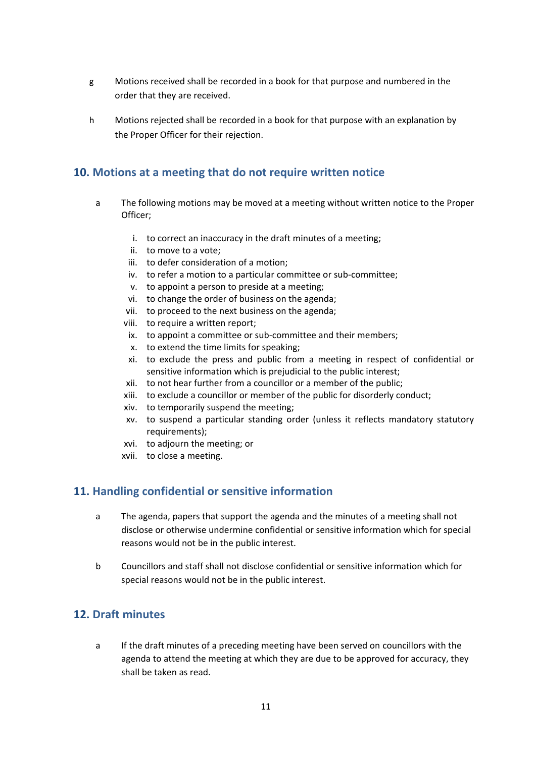- g Motions received shall be recorded in a book for that purpose and numbered in the order that they are received.
- <span id="page-10-0"></span>h Motions rejected shall be recorded in a book for that purpose with an explanation by the Proper Officer for their rejection.

## **10. Motions at a meeting that do not require written notice**

- a The following motions may be moved at a meeting without written notice to the Proper Officer;
	- i. to correct an inaccuracy in the draft minutes of a meeting;
	- ii. to move to a vote;
	- iii. to defer consideration of a motion;
	- iv. to refer a motion to a particular committee or sub-committee;
	- v. to appoint a person to preside at a meeting;
	- vi. to change the order of business on the agenda;
	- vii. to proceed to the next business on the agenda;
	- viii. to require a written report;
		- ix. to appoint a committee or sub-committee and their members;
		- x. to extend the time limits for speaking;
	- xi. to exclude the press and public from a meeting in respect of confidential or sensitive information which is prejudicial to the public interest;
	- xii. to not hear further from a councillor or a member of the public;
	- xiii. to exclude a councillor or member of the public for disorderly conduct;
	- xiv. to temporarily suspend the meeting;
	- xv. to suspend a particular standing order (unless it reflects mandatory statutory requirements);
	- xvi. to adjourn the meeting; or
	- xvii. to close a meeting.

#### <span id="page-10-1"></span>**11. Handling confidential or sensitive information**

- a The agenda, papers that support the agenda and the minutes of a meeting shall not disclose or otherwise undermine confidential or sensitive information which for special reasons would not be in the public interest.
- b Councillors and staff shall not disclose confidential or sensitive information which for special reasons would not be in the public interest.

#### <span id="page-10-2"></span>**12. Draft minutes**

a If the draft minutes of a preceding meeting have been served on councillors with the agenda to attend the meeting at which they are due to be approved for accuracy, they shall be taken as read.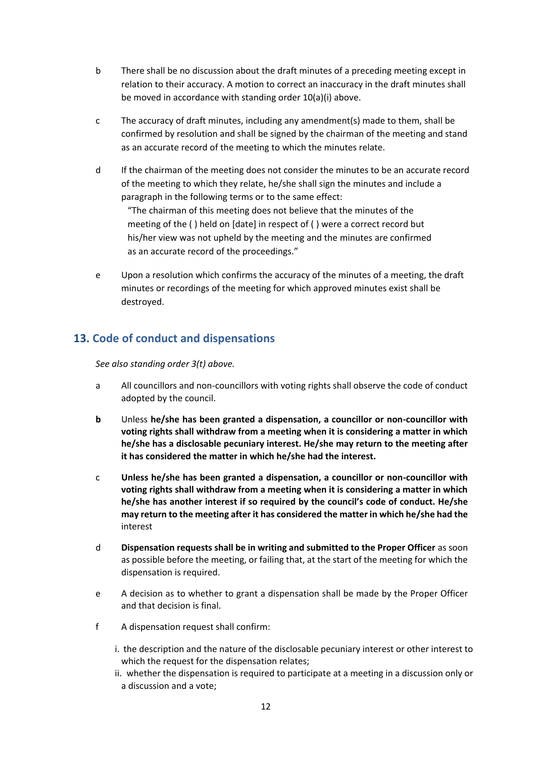- b There shall be no discussion about the draft minutes of a preceding meeting except in relation to their accuracy. A motion to correct an inaccuracy in the draft minutes shall be moved in accordance with standing order 10(a)(i) above.
- c The accuracy of draft minutes, including any amendment(s) made to them, shall be confirmed by resolution and shall be signed by the chairman of the meeting and stand as an accurate record of the meeting to which the minutes relate.
- d If the chairman of the meeting does not consider the minutes to be an accurate record of the meeting to which they relate, he/she shall sign the minutes and include a paragraph in the following terms or to the same effect:

"The chairman of this meeting does not believe that the minutes of the meeting of the ( ) held on [date] in respect of ( ) were a correct record but his/her view was not upheld by the meeting and the minutes are confirmed as an accurate record of the proceedings."

e Upon a resolution which confirms the accuracy of the minutes of a meeting, the draft minutes or recordings of the meeting for which approved minutes exist shall be destroyed.

## <span id="page-11-0"></span>**13. Code of conduct and dispensations**

*See also standing order 3(t) above.*

- a All councillors and non-councillors with voting rights shall observe the code of conduct adopted by the council.
- **b** Unless **he/she has been granted a dispensation, a councillor or non-councillor with voting rights shall withdraw from a meeting when it is considering a matter in which he/she has a disclosable pecuniary interest. He/she may return to the meeting after it has considered the matter in which he/she had the interest.**
- c **Unless he/she has been granted a dispensation, a councillor or non-councillor with voting rights shall withdraw from a meeting when it is considering a matter in which he/she has another interest if so required by the council's code of conduct. He/she may return to the meeting after it has considered the matter in which he/she had the** interest
- d **Dispensation requests shall be in writing and submitted to the Proper Officer** as soon as possible before the meeting, or failing that, at the start of the meeting for which the dispensation is required.
- e A decision as to whether to grant a dispensation shall be made by the Proper Officer and that decision is final.
- f A dispensation request shall confirm:
	- i. the description and the nature of the disclosable pecuniary interest or other interest to which the request for the dispensation relates;
	- ii. whether the dispensation is required to participate at a meeting in a discussion only or a discussion and a vote;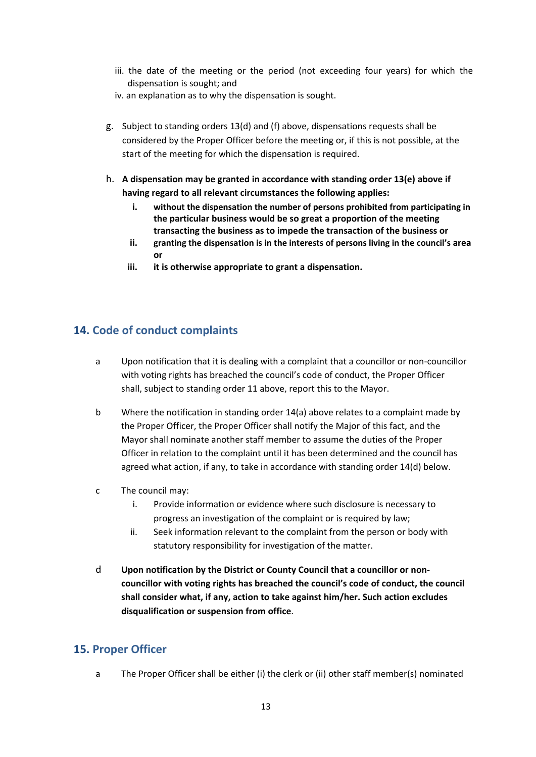- iii. the date of the meeting or the period (not exceeding four years) for which the dispensation is sought; and
- iv. an explanation as to why the dispensation is sought.
- g. Subject to standing orders 13(d) and (f) above, dispensations requests shall be considered by the Proper Officer before the meeting or, if this is not possible, at the start of the meeting for which the dispensation is required.
- h. **A dispensation may be granted in accordance with standing order 13(e) above if having regard to all relevant circumstances the following applies:**
	- **i. without the dispensation the number of persons prohibited from participating in the particular business would be so great a proportion of the meeting transacting the business as to impede the transaction of the business or**
	- **ii. granting the dispensation is in the interests of persons living in the council's area or**
	- **iii. it is otherwise appropriate to grant a dispensation.**

## <span id="page-12-0"></span>**14. Code of conduct complaints**

- a Upon notification that it is dealing with a complaint that a councillor or non-councillor with voting rights has breached the council's code of conduct, the Proper Officer shall, subject to standing order 11 above, report this to the Mayor.
- b Where the notification in standing order 14(a) above relates to a complaint made by the Proper Officer, the Proper Officer shall notify the Major of this fact, and the Mayor shall nominate another staff member to assume the duties of the Proper Officer in relation to the complaint until it has been determined and the council has agreed what action, if any, to take in accordance with standing order 14(d) below.
- c The council may:
	- i. Provide information or evidence where such disclosure is necessary to progress an investigation of the complaint or is required by law;
	- ii. Seek information relevant to the complaint from the person or body with statutory responsibility for investigation of the matter.
- d **Upon notification by the District or County Council that a councillor or noncouncillor with voting rights has breached the council's code of conduct, the council shall consider what, if any, action to take against him/her. Such action excludes disqualification or suspension from office**.

#### <span id="page-12-1"></span>**15. Proper Officer**

a The Proper Officer shall be either (i) the clerk or (ii) other staff member(s) nominated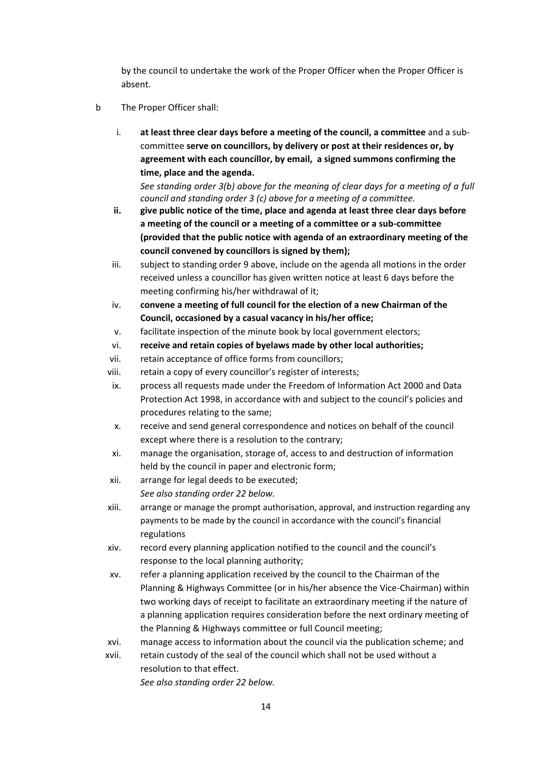by the council to undertake the work of the Proper Officer when the Proper Officer is absent.

- b The Proper Officer shall:
	- i. **at least three clear days before a meeting of the council, a committee** and a subcommittee **serve on councillors, by delivery or post at their residences or, by agreement with each councillor, by email, a signed summons confirming the time, place and the agenda.**

*See standing order 3(b) above for the meaning of clear days for a meeting of a full council and standing order 3 (c) above for a meeting of a committee.*

- **ii. give public notice of the time, place and agenda at least three clear days before a meeting of the council or a meeting of a committee or a sub-committee (provided that the public notice with agenda of an extraordinary meeting of the council convened by councillors is signed by them);**
- iii. subject to standing order 9 above, include on the agenda all motions in the order received unless a councillor has given written notice at least 6 days before the meeting confirming his/her withdrawal of it;
- iv. **convene a meeting of full council for the election of a new Chairman of the Council, occasioned by a casual vacancy in his/her office;**
- v. facilitate inspection of the minute book by local government electors;
- vi. **receive and retain copies of byelaws made by other local authorities;**
- vii. retain acceptance of office forms from councillors;
- viii. retain a copy of every councillor's register of interests;
- ix. process all requests made under the Freedom of Information Act 2000 and Data Protection Act 1998, in accordance with and subject to the council's policies and procedures relating to the same;
- x. receive and send general correspondence and notices on behalf of the council except where there is a resolution to the contrary;
- xi. manage the organisation, storage of, access to and destruction of information held by the council in paper and electronic form;
- xii. arrange for legal deeds to be executed; *See also standing order 22 below.*
- xiii. arrange or manage the prompt authorisation, approval, and instruction regarding any payments to be made by the council in accordance with the council's financial regulations
- xiv. record every planning application notified to the council and the council's response to the local planning authority;
- xv. refer a planning application received by the council to the Chairman of the Planning & Highways Committee (or in his/her absence the Vice-Chairman) within two working days of receipt to facilitate an extraordinary meeting if the nature of a planning application requires consideration before the next ordinary meeting of the Planning & Highways committee or full Council meeting;
- xvi. manage access to information about the council via the publication scheme; and
- xvii. retain custody of the seal of the council which shall not be used without a resolution to that effect.

*See also standing order 22 below.*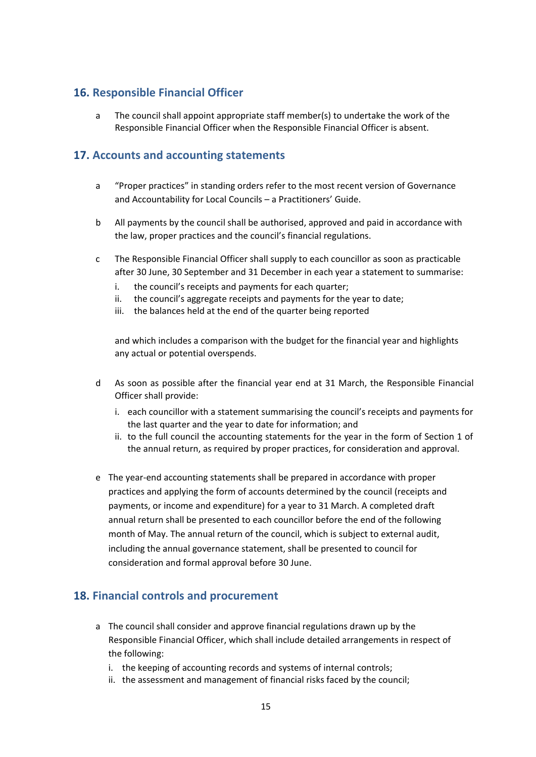## <span id="page-14-0"></span>**16. Responsible Financial Officer**

a The council shall appoint appropriate staff member(s) to undertake the work of the Responsible Financial Officer when the Responsible Financial Officer is absent.

#### <span id="page-14-1"></span>**17. Accounts and accounting statements**

- a "Proper practices" in standing orders refer to the most recent version of Governance and Accountability for Local Councils – a Practitioners' Guide.
- b All payments by the council shall be authorised, approved and paid in accordance with the law, proper practices and the council's financial regulations.
- c The Responsible Financial Officer shall supply to each councillor as soon as practicable after 30 June, 30 September and 31 December in each year a statement to summarise:
	- i. the council's receipts and payments for each quarter;
	- ii. the council's aggregate receipts and payments for the year to date;
	- iii. the balances held at the end of the quarter being reported

and which includes a comparison with the budget for the financial year and highlights any actual or potential overspends.

- d As soon as possible after the financial year end at 31 March, the Responsible Financial Officer shall provide:
	- i. each councillor with a statement summarising the council's receipts and payments for the last quarter and the year to date for information; and
	- ii. to the full council the accounting statements for the year in the form of Section 1 of the annual return, as required by proper practices, for consideration and approval.
- e The year-end accounting statements shall be prepared in accordance with proper practices and applying the form of accounts determined by the council (receipts and payments, or income and expenditure) for a year to 31 March. A completed draft annual return shall be presented to each councillor before the end of the following month of May. The annual return of the council, which is subject to external audit, including the annual governance statement, shall be presented to council for consideration and formal approval before 30 June.

## <span id="page-14-2"></span>**18. Financial controls and procurement**

- a The council shall consider and approve financial regulations drawn up by the Responsible Financial Officer, which shall include detailed arrangements in respect of the following:
	- i. the keeping of accounting records and systems of internal controls;
	- ii. the assessment and management of financial risks faced by the council;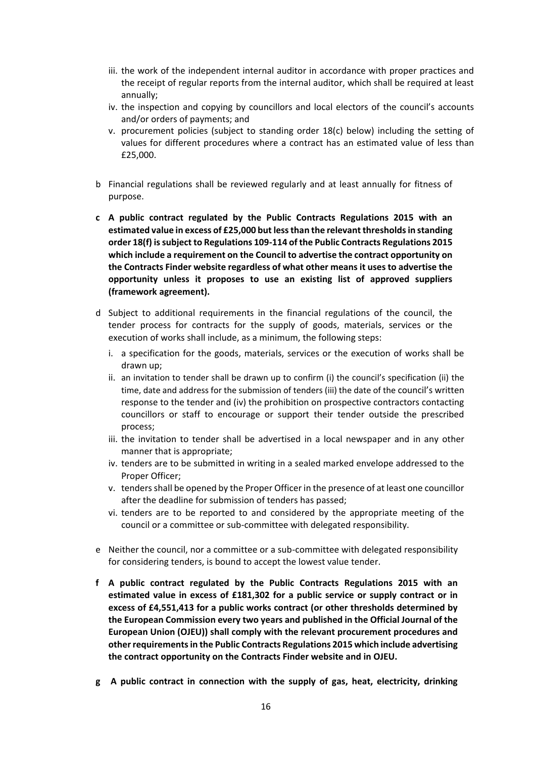- iii. the work of the independent internal auditor in accordance with proper practices and the receipt of regular reports from the internal auditor, which shall be required at least annually;
- iv. the inspection and copying by councillors and local electors of the council's accounts and/or orders of payments; and
- v. procurement policies (subject to standing order 18(c) below) including the setting of values for different procedures where a contract has an estimated value of less than £25,000.
- b Financial regulations shall be reviewed regularly and at least annually for fitness of purpose.
- **c A public contract regulated by the Public Contracts Regulations 2015 with an estimated value in excess of £25,000 but less than the relevant thresholds in standing order 18(f) is subject to Regulations 109-114 of the Public Contracts Regulations 2015 which include a requirement on the Council to advertise the contract opportunity on the Contracts Finder website regardless of what other means it uses to advertise the opportunity unless it proposes to use an existing list of approved suppliers (framework agreement).**
- d Subject to additional requirements in the financial regulations of the council, the tender process for contracts for the supply of goods, materials, services or the execution of works shall include, as a minimum, the following steps:
	- i. a specification for the goods, materials, services or the execution of works shall be drawn up;
	- ii. an invitation to tender shall be drawn up to confirm (i) the council's specification (ii) the time, date and address for the submission of tenders (iii) the date of the council's written response to the tender and (iv) the prohibition on prospective contractors contacting councillors or staff to encourage or support their tender outside the prescribed process;
	- iii. the invitation to tender shall be advertised in a local newspaper and in any other manner that is appropriate;
	- iv. tenders are to be submitted in writing in a sealed marked envelope addressed to the Proper Officer;
	- v. tenders shall be opened by the Proper Officer in the presence of at least one councillor after the deadline for submission of tenders has passed;
	- vi. tenders are to be reported to and considered by the appropriate meeting of the council or a committee or sub-committee with delegated responsibility.
- e Neither the council, nor a committee or a sub-committee with delegated responsibility for considering tenders, is bound to accept the lowest value tender.
- **f A public contract regulated by the Public Contracts Regulations 2015 with an estimated value in excess of £181,302 for a public service or supply contract or in excess of £4,551,413 for a public works contract (or other thresholds determined by the European Commission every two years and published in the Official Journal of the European Union (OJEU)) shall comply with the relevant procurement procedures and other requirements in the Public Contracts Regulations 2015 which include advertising the contract opportunity on the Contracts Finder website and in OJEU.**
- **g A public contract in connection with the supply of gas, heat, electricity, drinking**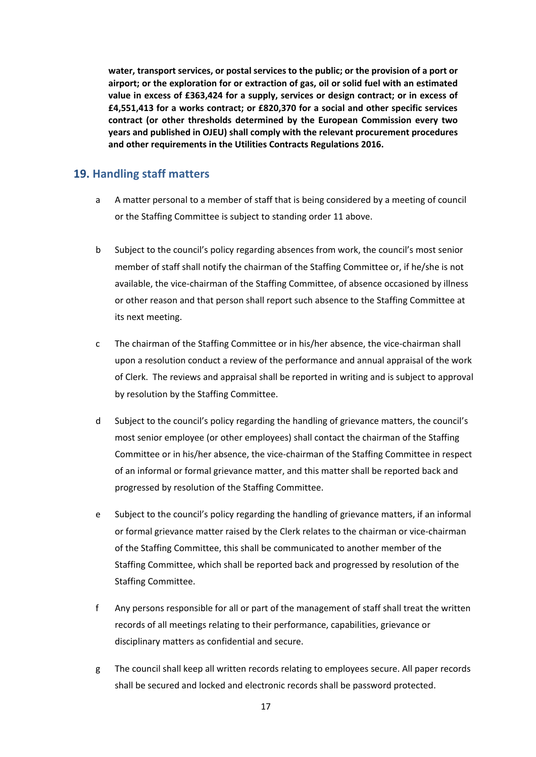**water, transport services, or postal services to the public; or the provision of a port or airport; or the exploration for or extraction of gas, oil or solid fuel with an estimated value in excess of £363,424 for a supply, services or design contract; or in excess of £4,551,413 for a works contract; or £820,370 for a social and other specific services contract (or other thresholds determined by the European Commission every two years and published in OJEU) shall comply with the relevant procurement procedures and other requirements in the Utilities Contracts Regulations 2016.**

#### <span id="page-16-0"></span>**19. Handling staff matters**

- a A matter personal to a member of staff that is being considered by a meeting of council or the Staffing Committee is subject to standing order 11 above.
- b Subject to the council's policy regarding absences from work, the council's most senior member of staff shall notify the chairman of the Staffing Committee or, if he/she is not available, the vice-chairman of the Staffing Committee, of absence occasioned by illness or other reason and that person shall report such absence to the Staffing Committee at its next meeting.
- c The chairman of the Staffing Committee or in his/her absence, the vice-chairman shall upon a resolution conduct a review of the performance and annual appraisal of the work of Clerk. The reviews and appraisal shall be reported in writing and is subject to approval by resolution by the Staffing Committee.
- d Subject to the council's policy regarding the handling of grievance matters, the council's most senior employee (or other employees) shall contact the chairman of the Staffing Committee or in his/her absence, the vice-chairman of the Staffing Committee in respect of an informal or formal grievance matter, and this matter shall be reported back and progressed by resolution of the Staffing Committee.
- e Subject to the council's policy regarding the handling of grievance matters, if an informal or formal grievance matter raised by the Clerk relates to the chairman or vice-chairman of the Staffing Committee, this shall be communicated to another member of the Staffing Committee, which shall be reported back and progressed by resolution of the Staffing Committee.
- f Any persons responsible for all or part of the management of staff shall treat the written records of all meetings relating to their performance, capabilities, grievance or disciplinary matters as confidential and secure.
- g The council shall keep all written records relating to employees secure. All paper records shall be secured and locked and electronic records shall be password protected.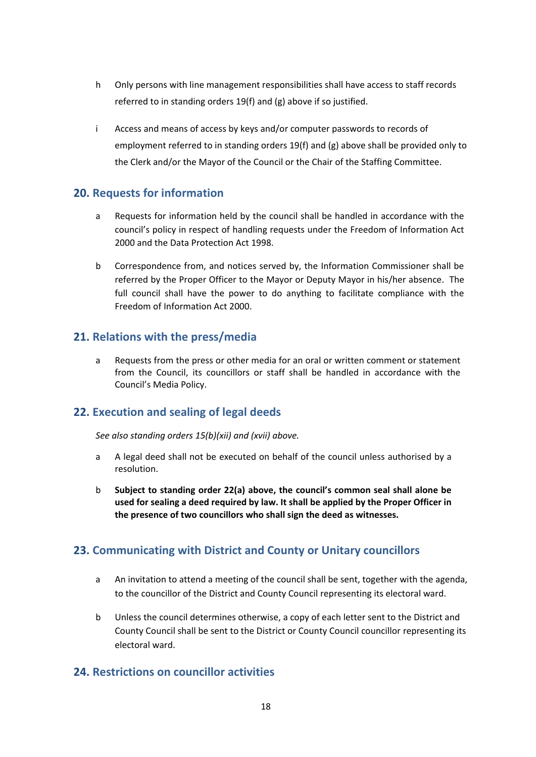- h Only persons with line management responsibilities shall have access to staff records referred to in standing orders 19(f) and (g) above if so justified.
- i Access and means of access by keys and/or computer passwords to records of employment referred to in standing orders 19(f) and  $(g)$  above shall be provided only to the Clerk and/or the Mayor of the Council or the Chair of the Staffing Committee.

#### <span id="page-17-0"></span>**20. Requests for information**

- a Requests for information held by the council shall be handled in accordance with the council's policy in respect of handling requests under the Freedom of Information Act 2000 and the Data Protection Act 1998.
- b Correspondence from, and notices served by, the Information Commissioner shall be referred by the Proper Officer to the Mayor or Deputy Mayor in his/her absence. The full council shall have the power to do anything to facilitate compliance with the Freedom of Information Act 2000.

#### <span id="page-17-1"></span>**21. Relations with the press/media**

a Requests from the press or other media for an oral or written comment or statement from the Council, its councillors or staff shall be handled in accordance with the Council's Media Policy.

#### <span id="page-17-2"></span>**22. Execution and sealing of legal deeds**

*See also standing orders 15(b)(xii) and (xvii) above.*

- a A legal deed shall not be executed on behalf of the council unless authorised by a resolution.
- b **Subject to standing order 22(a) above, the council's common seal shall alone be used for sealing a deed required by law. It shall be applied by the Proper Officer in the presence of two councillors who shall sign the deed as witnesses.**

#### <span id="page-17-3"></span>**23. Communicating with District and County or Unitary councillors**

- a An invitation to attend a meeting of the council shall be sent, together with the agenda, to the councillor of the District and County Council representing its electoral ward.
- b Unless the council determines otherwise, a copy of each letter sent to the District and County Council shall be sent to the District or County Council councillor representing its electoral ward.

#### <span id="page-17-4"></span>**24. Restrictions on councillor activities**